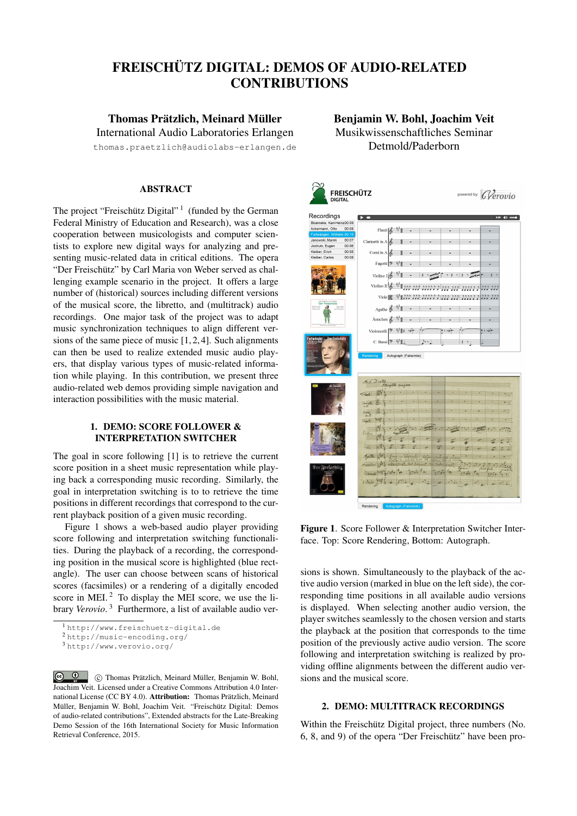# FREISCHÜTZ DIGITAL: DEMOS OF AUDIO-RELATED CONTRIBUTIONS

Thomas Prätzlich, Meinard Müller International Audio Laboratories Erlangen

thomas.praetzlich@audiolabs-erlangen.de

#### ABSTRACT

The project "Freischütz Digital"<sup>1</sup> (funded by the German Federal Ministry of Education and Research), was a close cooperation between musicologists and computer scientists to explore new digital ways for analyzing and presenting music-related data in critical editions. The opera "Der Freischütz" by Carl Maria von Weber served as challenging example scenario in the project. It offers a large number of (historical) sources including different versions of the musical score, the libretto, and (multitrack) audio recordings. One major task of the project was to adapt music synchronization techniques to align different versions of the same piece of music [1, 2, 4]. Such alignments can then be used to realize extended music audio players, that display various types of music-related information while playing. In this contribution, we present three audio-related web demos providing simple navigation and interaction possibilities with the music material.

#### 1. DEMO: SCORE FOLLOWER & INTERPRETATION SWITCHER

The goal in score following [1] is to retrieve the current score position in a sheet music representation while playing back a corresponding music recording. Similarly, the goal in interpretation switching is to to retrieve the time positions in different recordings that correspond to the current playback position of a given music recording.

Figure 1 shows a web-based audio player providing score following and interpretation switching functionalities. During the playback of a recording, the corresponding position in the musical score is highlighted (blue rectangle). The user can choose between scans of historical scores (facsimiles) or a rendering of a digitally encoded score in MEI. $<sup>2</sup>$  To display the MEI score, we use the li-</sup> brary *Verovio*. <sup>3</sup> Furthermore, a list of available audio ver-

ြုလ (၈)  $\circ$  Thomas Prätzlich, Meinard Müller, Benjamin W. Bohl, Joachim Veit. Licensed under a Creative Commons Attribution 4.0 International License (CC BY 4.0). Attribution: Thomas Prätzlich, Meinard Müller, Benjamin W. Bohl, Joachim Veit. "Freischütz Digital: Demos of audio-related contributions", Extended abstracts for the Late-Breaking Demo Session of the 16th International Society for Music Information Retrieval Conference, 2015.

## Benjamin W. Bohl, Joachim Veit Musikwissenschaftliches Seminar Detmold/Paderborn

| <b>FREISCHÜTZ</b><br><b>DIGITAL</b>                                                                                                                                                                            | powered by: <i>G</i> erovio                                                                                                                                                                                                                                                                                     |
|----------------------------------------------------------------------------------------------------------------------------------------------------------------------------------------------------------------|-----------------------------------------------------------------------------------------------------------------------------------------------------------------------------------------------------------------------------------------------------------------------------------------------------------------|
| Recordings<br>Bloemeke, Karl-Heinz00:09<br>Ackermann, Otto<br>00:08<br>Furtwängler, Wilhelm 00:15<br>Janowski, Marek<br>00:07<br>Jochum, Eugen<br>00:06<br>Kleiber, Erich<br>00:08<br>00:08<br>Kleiber, Carlos | Þ<br>┍<br>40<br>Flauti $\mathbb{Z}$<br>Clarinetti in A<br>Comi in A<br>Fagotti <sup>2</sup><br>-1,1<br>Violino $I($<br>ł<br>×<br>Violino II                                                                                                                                                                     |
| Carl Maria von Weber<br>Der Freiechütz<br>a<br>urtwängler<br>Der Freischütz                                                                                                                                    | bbb<br>h h h<br>Viole $\left[\mathbb{R}^{-\frac{1}{2}}\right]\mathbb{R}$<br>ុះ ខ<br>Agathe $\overline{\phi}$<br>¥<br>$\lambda$ nnchen<br>Violoncelli <sup>2</sup> <sup>12</sup> g + 2 <sup>2</sup><br>5.56<br>$-1.127$<br>C. Bassi $9 - \frac{11}{2}$<br>$\sim$<br>x<br>Ŧ<br>Rendering<br>Autograph (Faksimile) |
| relecínita                                                                                                                                                                                                     | A.G. Duetto<br>Allegathe grafioso<br>Heat<br>Clength<br>Corni<br>A<br>Faste<br><b>Trutt</b><br>つけない<br>Vistini<br>Väte<br>₫<br>Agathi.<br>$\overline{\mathcal{M}}$<br>tancher<br>f y                                                                                                                            |
|                                                                                                                                                                                                                | Vistoneytti<br>C. Bapi<br>$\rightarrow$<br>J.<br>Rendering<br>Autograph (Faksimile)                                                                                                                                                                                                                             |

Figure 1. Score Follower & Interpretation Switcher Interface. Top: Score Rendering, Bottom: Autograph.

sions is shown. Simultaneously to the playback of the active audio version (marked in blue on the left side), the corresponding time positions in all available audio versions is displayed. When selecting another audio version, the player switches seamlessly to the chosen version and starts the playback at the position that corresponds to the time position of the previously active audio version. The score following and interpretation switching is realized by providing offline alignments between the different audio versions and the musical score.

### 2. DEMO: MULTITRACK RECORDINGS

Within the Freischütz Digital project, three numbers (No.  $6, 8,$  and  $9$ ) of the opera "Der Freischütz" have been pro-

<sup>1</sup> http://www.freischuetz-digital.de

<sup>2</sup> http://music-encoding.org/

<sup>3</sup> http://www.verovio.org/